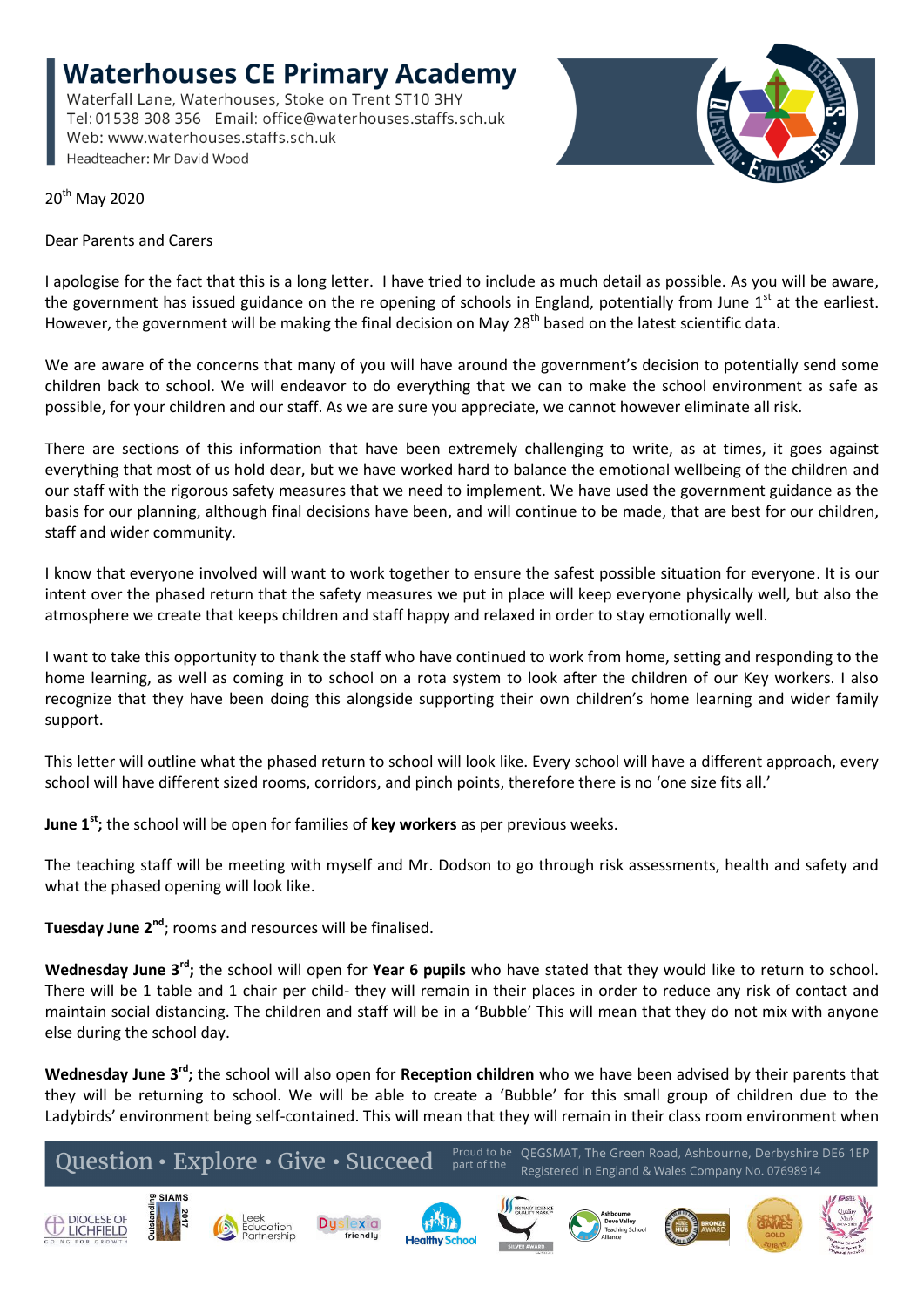**Waterhouses CE Primary Academy** Waterfall Lane, Waterhouses, Stoke on Trent ST10 3HY Tel: 01538 308 356 Email: office@waterhouses.staffs.sch.uk

Web: www.waterhouses.staffs.sch.uk Headteacher: Mr David Wood



20<sup>th</sup> May 2020

Dear Parents and Carers

I apologise for the fact that this is a long letter. I have tried to include as much detail as possible. As you will be aware, the government has issued guidance on the re opening of schools in England, potentially from June  $1<sup>st</sup>$  at the earliest. However, the government will be making the final decision on May 28<sup>th</sup> based on the latest scientific data.

We are aware of the concerns that many of you will have around the government's decision to potentially send some children back to school. We will endeavor to do everything that we can to make the school environment as safe as possible, for your children and our staff. As we are sure you appreciate, we cannot however eliminate all risk.

There are sections of this information that have been extremely challenging to write, as at times, it goes against everything that most of us hold dear, but we have worked hard to balance the emotional wellbeing of the children and our staff with the rigorous safety measures that we need to implement. We have used the government guidance as the basis for our planning, although final decisions have been, and will continue to be made, that are best for our children, staff and wider community.

I know that everyone involved will want to work together to ensure the safest possible situation for everyone. It is our intent over the phased return that the safety measures we put in place will keep everyone physically well, but also the atmosphere we create that keeps children and staff happy and relaxed in order to stay emotionally well.

I want to take this opportunity to thank the staff who have continued to work from home, setting and responding to the home learning, as well as coming in to school on a rota system to look after the children of our Key workers. I also recognize that they have been doing this alongside supporting their own children's home learning and wider family support.

This letter will outline what the phased return to school will look like. Every school will have a different approach, every school will have different sized rooms, corridors, and pinch points, therefore there is no 'one size fits all.'

**June 1st;** the school will be open for families of **key workers** as per previous weeks.

The teaching staff will be meeting with myself and Mr. Dodson to go through risk assessments, health and safety and what the phased opening will look like.

**Tuesday June 2nd**; rooms and resources will be finalised.

**Wednesday June 3rd;** the school will open for **Year 6 pupils** who have stated that they would like to return to school. There will be 1 table and 1 chair per child- they will remain in their places in order to reduce any risk of contact and maintain social distancing. The children and staff will be in a 'Bubble' This will mean that they do not mix with anyone else during the school day.

**Wednesday June 3rd;** the school will also open for **Reception children** who we have been advised by their parents that they will be returning to school. We will be able to create a 'Bubble' for this small group of children due to the Ladybirds' environment being self-contained. This will mean that they will remain in their class room environment when

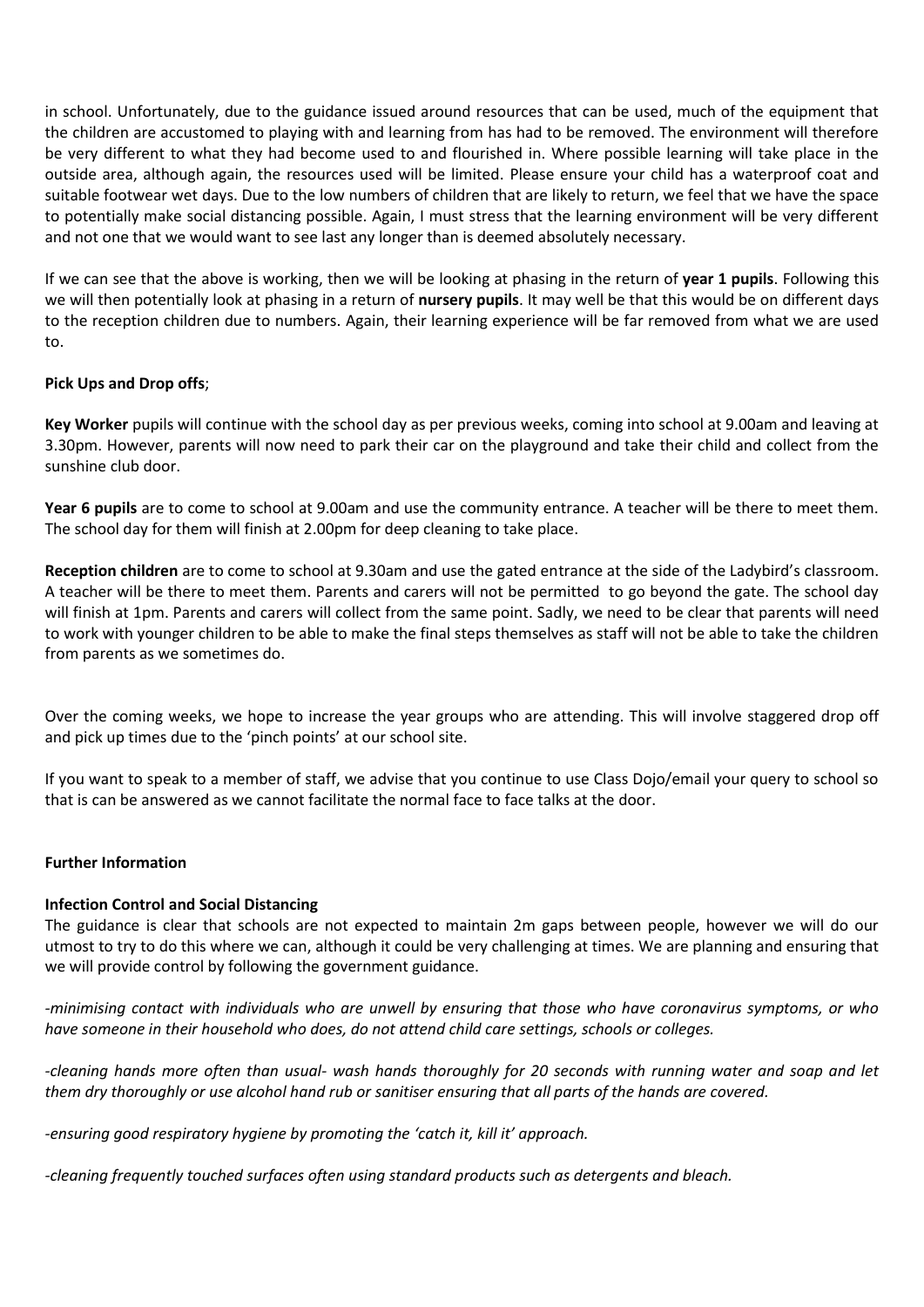in school. Unfortunately, due to the guidance issued around resources that can be used, much of the equipment that the children are accustomed to playing with and learning from has had to be removed. The environment will therefore be very different to what they had become used to and flourished in. Where possible learning will take place in the outside area, although again, the resources used will be limited. Please ensure your child has a waterproof coat and suitable footwear wet days. Due to the low numbers of children that are likely to return, we feel that we have the space to potentially make social distancing possible. Again, I must stress that the learning environment will be very different and not one that we would want to see last any longer than is deemed absolutely necessary.

If we can see that the above is working, then we will be looking at phasing in the return of **year 1 pupils**. Following this we will then potentially look at phasing in a return of **nursery pupils**. It may well be that this would be on different days to the reception children due to numbers. Again, their learning experience will be far removed from what we are used to.

## **Pick Ups and Drop offs**;

**Key Worker** pupils will continue with the school day as per previous weeks, coming into school at 9.00am and leaving at 3.30pm. However, parents will now need to park their car on the playground and take their child and collect from the sunshine club door.

**Year 6 pupils** are to come to school at 9.00am and use the community entrance. A teacher will be there to meet them. The school day for them will finish at 2.00pm for deep cleaning to take place.

**Reception children** are to come to school at 9.30am and use the gated entrance at the side of the Ladybird's classroom. A teacher will be there to meet them. Parents and carers will not be permitted to go beyond the gate. The school day will finish at 1pm. Parents and carers will collect from the same point. Sadly, we need to be clear that parents will need to work with younger children to be able to make the final steps themselves as staff will not be able to take the children from parents as we sometimes do.

Over the coming weeks, we hope to increase the year groups who are attending. This will involve staggered drop off and pick up times due to the 'pinch points' at our school site.

If you want to speak to a member of staff, we advise that you continue to use Class Dojo/email your query to school so that is can be answered as we cannot facilitate the normal face to face talks at the door.

### **Further Information**

### **Infection Control and Social Distancing**

The guidance is clear that schools are not expected to maintain 2m gaps between people, however we will do our utmost to try to do this where we can, although it could be very challenging at times. We are planning and ensuring that we will provide control by following the government guidance.

*-minimising contact with individuals who are unwell by ensuring that those who have coronavirus symptoms, or who have someone in their household who does, do not attend child care settings, schools or colleges.*

*-cleaning hands more often than usual- wash hands thoroughly for 20 seconds with running water and soap and let them dry thoroughly or use alcohol hand rub or sanitiser ensuring that all parts of the hands are covered.*

*-ensuring good respiratory hygiene by promoting the 'catch it, kill it' approach.*

*-cleaning frequently touched surfaces often using standard products such as detergents and bleach.*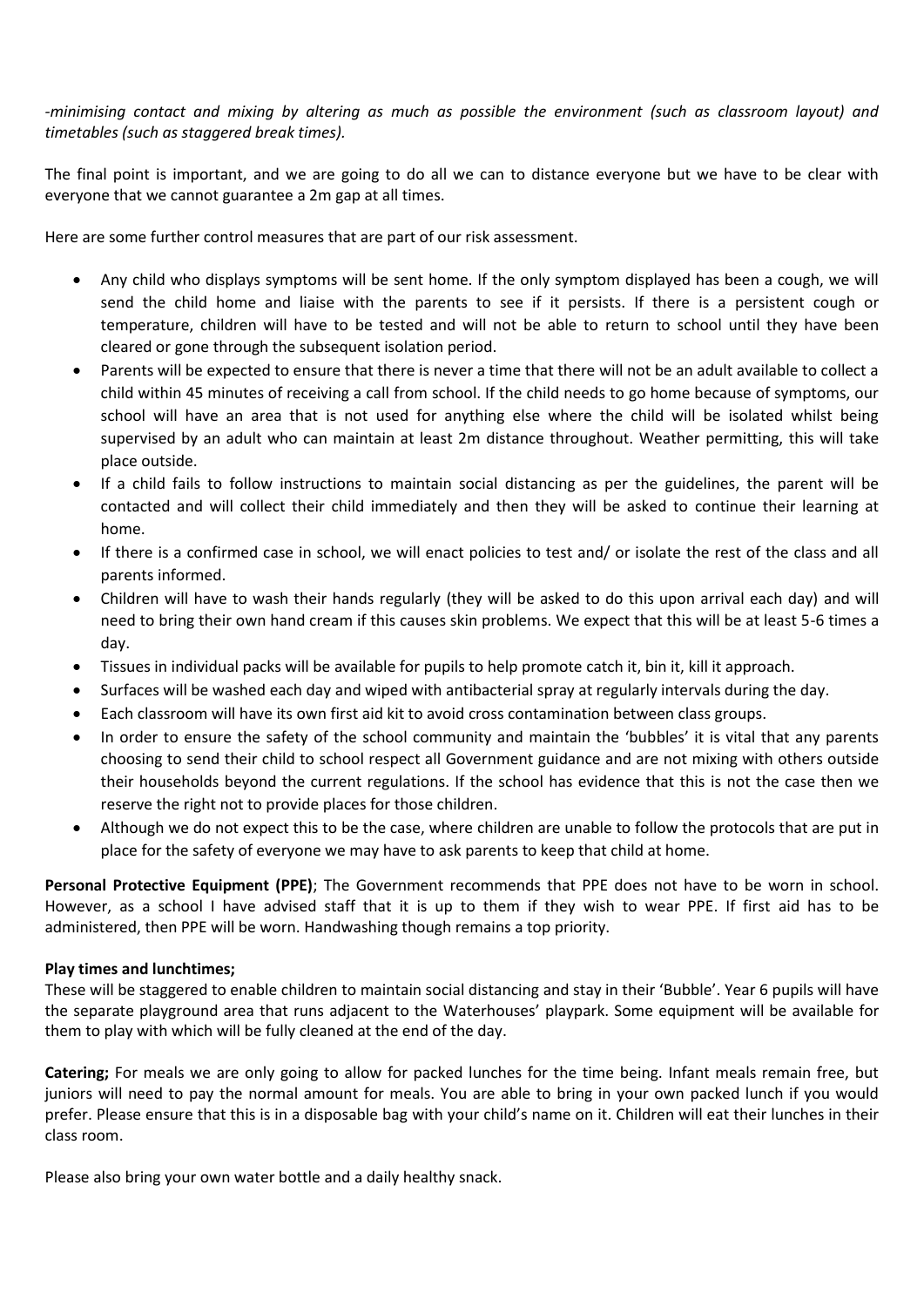# *-minimising contact and mixing by altering as much as possible the environment (such as classroom layout) and timetables (such as staggered break times).*

The final point is important, and we are going to do all we can to distance everyone but we have to be clear with everyone that we cannot guarantee a 2m gap at all times.

Here are some further control measures that are part of our risk assessment.

- Any child who displays symptoms will be sent home. If the only symptom displayed has been a cough, we will send the child home and liaise with the parents to see if it persists. If there is a persistent cough or temperature, children will have to be tested and will not be able to return to school until they have been cleared or gone through the subsequent isolation period.
- Parents will be expected to ensure that there is never a time that there will not be an adult available to collect a child within 45 minutes of receiving a call from school. If the child needs to go home because of symptoms, our school will have an area that is not used for anything else where the child will be isolated whilst being supervised by an adult who can maintain at least 2m distance throughout. Weather permitting, this will take place outside.
- If a child fails to follow instructions to maintain social distancing as per the guidelines, the parent will be contacted and will collect their child immediately and then they will be asked to continue their learning at home.
- If there is a confirmed case in school, we will enact policies to test and/ or isolate the rest of the class and all parents informed.
- Children will have to wash their hands regularly (they will be asked to do this upon arrival each day) and will need to bring their own hand cream if this causes skin problems. We expect that this will be at least 5-6 times a day.
- Tissues in individual packs will be available for pupils to help promote catch it, bin it, kill it approach.
- Surfaces will be washed each day and wiped with antibacterial spray at regularly intervals during the day.
- Each classroom will have its own first aid kit to avoid cross contamination between class groups.
- In order to ensure the safety of the school community and maintain the 'bubbles' it is vital that any parents choosing to send their child to school respect all Government guidance and are not mixing with others outside their households beyond the current regulations. If the school has evidence that this is not the case then we reserve the right not to provide places for those children.
- Although we do not expect this to be the case, where children are unable to follow the protocols that are put in place for the safety of everyone we may have to ask parents to keep that child at home.

**Personal Protective Equipment (PPE)**; The Government recommends that PPE does not have to be worn in school. However, as a school I have advised staff that it is up to them if they wish to wear PPE. If first aid has to be administered, then PPE will be worn. Handwashing though remains a top priority.

### **Play times and lunchtimes;**

These will be staggered to enable children to maintain social distancing and stay in their 'Bubble'. Year 6 pupils will have the separate playground area that runs adjacent to the Waterhouses' playpark. Some equipment will be available for them to play with which will be fully cleaned at the end of the day.

**Catering;** For meals we are only going to allow for packed lunches for the time being. Infant meals remain free, but juniors will need to pay the normal amount for meals. You are able to bring in your own packed lunch if you would prefer. Please ensure that this is in a disposable bag with your child's name on it. Children will eat their lunches in their class room.

Please also bring your own water bottle and a daily healthy snack.